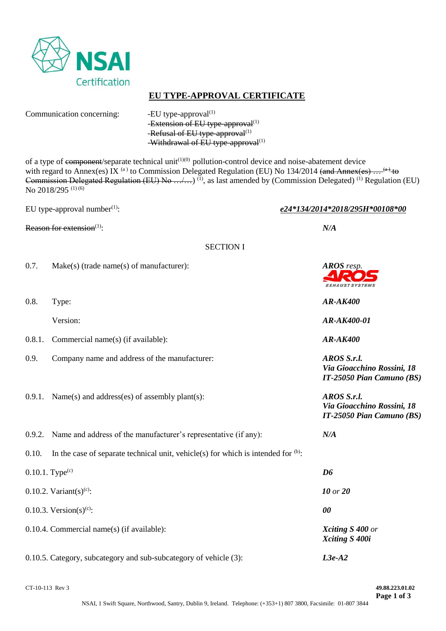

# **EU TYPE-APPROVAL CERTIFICATE**

Communication concerning: -EU type-approval<sup>(1)</sup>

-Extension of EU type-approval $^{(1)}$ -Refusal of EU type-approval<sup>(1)</sup> -Withdrawal of EU type-approval<sup>(1)</sup>

of a type of component/separate technical unit<sup> $(1)(0)$ </sup> pollution-control device and noise-abatement device with regard to Annex(es) IX<sup>(a)</sup> to Commission Delegated Regulation (EU) No 134/2014 (and Annex(es) ... <sup>(a)</sup> to Commission Delegated Regulation (EU) No .../...)<sup>(1)</sup>, as last amended by (Commission Delegated)<sup>(1)</sup> Regulation (EU) No 2018/295 (1) (6)

Reason for extension<sup>(1)</sup>:  $N/A$ 

EU type-approval number(1): *e24\*134/2014\*2018/295H\*00108\*00*

**EXHAUST SYSTEMS** 

*Via Gioacchino Rossini, 18 IT-25050 Pian Camuno (BS)*

*Via Gioacchino Rossini, 18*

SECTION I

- 0.7. Make(s) (trade name(s) of manufacturer): *AROS resp.*
- 0.8. Type: *AR-AK400*

Version: *AR-AK400-01*

- 0.8.1. Commercial name(s) (if available): *AR-AK400*
- 0.9. Company name and address of the manufacturer: *AROS S.r.l.*
- 0.9.1. Name(s) and address(es) of assembly plant(s): *AROS S.r.l.*
- *IT-25050 Pian Camuno (BS)* 0.9.2. Name and address of the manufacturer's representative (if any): *N/A* 0.10. In the case of separate technical unit, vehicle(s) for which is intended for  $(b)$ : 0.10.1. Type<sup>(c)</sup>  $D6$ 0.10.2. Variant(s)<sup>(c)</sup>: *10 or* **20** 0.10.3. Version(s)<sup>(c)</sup>: : *00* 0.10.4. Commercial name(s) (if available): *Xciting S 400 or Xciting S 400i*

0.10.5. Category, subcategory and sub-subcategory of vehicle (3): *L3e-A2*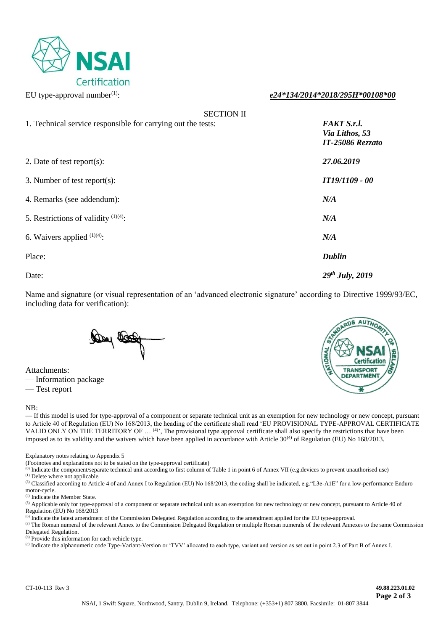

### EU type-approval number(1): *e24\*134/2014\*2018/295H\*00108\*00*

|                                                              | <b>SECTION II</b> |                                                          |
|--------------------------------------------------------------|-------------------|----------------------------------------------------------|
| 1. Technical service responsible for carrying out the tests: |                   | <b>FAKT S.r.l.</b><br>Via Lithos, 53<br>IT-25086 Rezzato |
| 2. Date of test report(s):                                   |                   | 27.06.2019                                               |
| 3. Number of test report(s):                                 |                   | IT19/1109 - 00                                           |
| 4. Remarks (see addendum):                                   |                   | N/A                                                      |
| 5. Restrictions of validity $(1)(4)$ :                       |                   | N/A                                                      |
| 6. Waivers applied $(1)(4)$ :                                |                   | N/A                                                      |
| Place:                                                       |                   | <b>Dublin</b>                                            |
| Date:                                                        |                   | $29^{th}$ July, 2019                                     |

Name and signature (or visual representation of an 'advanced electronic signature' according to Directive 1999/93/EC, including data for verification):

De let

Attachments: — Information package

— Test report

#### NB:



— If this model is used for type-approval of a component or separate technical unit as an exemption for new technology or new concept, pursuant to Article 40 of Regulation (EU) No 168/2013, the heading of the certificate shall read 'EU PROVISIONAL TYPE-APPROVAL CERTIFICATE VALID ONLY ON THE TERRITORY OF  $\ldots$  <sup>(4)</sup>', The provisional type approval certificate shall also specify the restrictions that have been imposed as to its validity and the waivers which have been applied in accordance with Article  $30^{(4)}$  of Regulation (EU) No 168/2013.

Explanatory notes relating to Appendix 5

(Footnotes and explanations not to be stated on the type-approval certificate)

<sup>(0)</sup> Indicate the component/separate technical unit according to first column of Table 1 in point 6 of Annex VII (e.g.devices to prevent unauthorised use)

(1) Delete where not applicable.

(3) Classified according to Article 4 of and Annex I to Regulation (EU) No 168/2013, the coding shall be indicated, e.g."L3e-A1E" for a low-performance Enduro motor-cycle.

(4) Indicate the Member State.

<sup>(5)</sup> Applicable only for type-approval of a component or separate technical unit as an exemption for new technology or new concept, pursuant to Article 40 of Regulation (EU) No 168/2013

(6) Indicate the latest amendment of the Commission Delegated Regulation according to the amendment applied for the EU type-approval.

(a) The Roman numeral of the relevant Annex to the Commission Delegated Regulation or multiple Roman numerals of the relevant Annexes to the same Commission Delegated Regulation.

(b) Provide this information for each vehicle type.

(c) Indicate the alphanumeric code Type-Variant-Version or 'TVV' allocated to each type, variant and version as set out in point 2.3 of Part B of Annex I.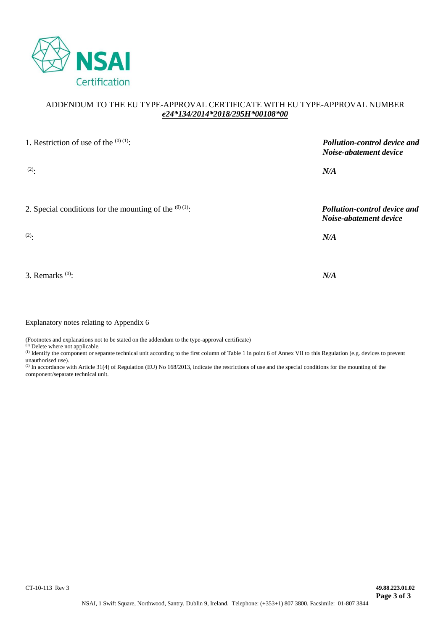

# ADDENDUM TO THE EU TYPE-APPROVAL CERTIFICATE WITH EU TYPE-APPROVAL NUMBER *e24\*134/2014\*2018/295H\*00108\*00*

| 1. Restriction of use of the $(0)(1)$ :                  | Pollution-control device and<br>Noise-abatement device |
|----------------------------------------------------------|--------------------------------------------------------|
| $(2)$ .                                                  | N/A                                                    |
| 2. Special conditions for the mounting of the $(0)(1)$ : | Pollution-control device and<br>Noise-abatement device |
| $(2)$ .                                                  | N/A                                                    |
|                                                          |                                                        |
| 3. Remarks $^{(0)}$ :                                    | N/A                                                    |

Explanatory notes relating to Appendix 6

(Footnotes and explanations not to be stated on the addendum to the type-approval certificate)

(0) Delete where not applicable.

(1) Identify the component or separate technical unit according to the first column of Table 1 in point 6 of Annex VII to this Regulation (e.g. devices to prevent unauthorised use).

(2) In accordance with Article 31(4) of Regulation (EU) No 168/2013, indicate the restrictions of use and the special conditions for the mounting of the component/separate technical unit.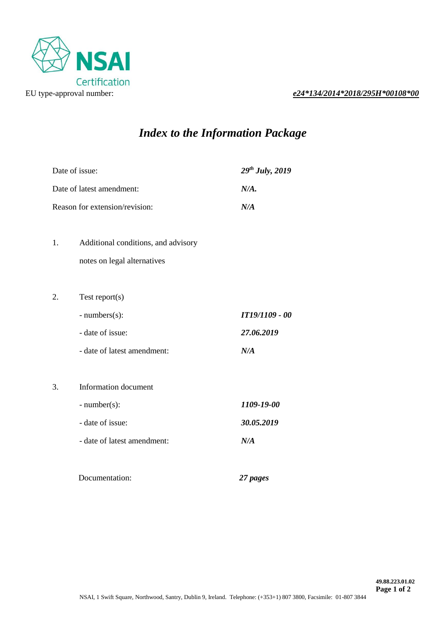

# EU type-approval number: *e24\*134/2014\*2018/295H\*00108\*00*

# *Index to the Information Package*

|    | Date of issue:                      | $29^{th}$ July, 2019 |
|----|-------------------------------------|----------------------|
|    | Date of latest amendment:           | N/A.                 |
|    | Reason for extension/revision:      | N/A                  |
|    |                                     |                      |
| 1. | Additional conditions, and advisory |                      |
|    | notes on legal alternatives         |                      |
|    |                                     |                      |
| 2. | Test report $(s)$                   |                      |
|    | $- numbers(s)$ :                    | IT19/1109 - 00       |
|    | - date of issue:                    | 27.06.2019           |
|    | - date of latest amendment:         | N/A                  |
|    |                                     |                      |
| 3. | Information document                |                      |
|    | $-$ number(s):                      | 1109-19-00           |
|    | - date of issue:                    | 30.05.2019           |
|    | - date of latest amendment:         | N/A                  |
|    |                                     |                      |
|    | Documentation:                      | 27 pages             |